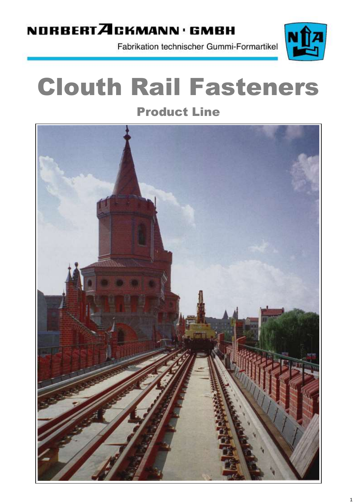## NORBERTACKMANN · GMBH

Fabrikation technischer Gummi-Formartikel



# Clouth Rail Fasteners

Product Line

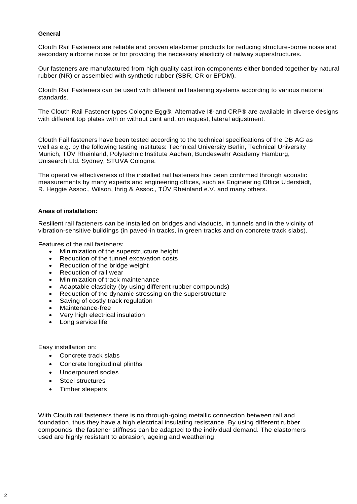#### **General**

Clouth Rail Fasteners are reliable and proven elastomer products for reducing structure-borne noise and secondary airborne noise or for providing the necessary elasticity of railway superstructures.

Our fasteners are manufactured from high quality cast iron components either bonded together by natural rubber (NR) or assembled with synthetic rubber (SBR, CR or EPDM).

Clouth Rail Fasteners can be used with different rail fastening systems according to various national standards.

The Clouth Rail Fastener types Cologne Egg®, Alternative I® and CRP® are available in diverse designs with different top plates with or without cant and, on request, lateral adjustment.

Clouth Fail fasteners have been tested according to the technical specifications of the DB AG as well as e.g. by the following testing institutes: Technical University Berlin, Technical University Munich, TÜV Rheinland, Polytechnic Institute Aachen, Bundeswehr Academy Hamburg, Unisearch Ltd. Sydney, STUVA Cologne.

The operative effectiveness of the installed rail fasteners has been confirmed through acoustic measurements by many experts and engineering offices, such as Engineering Office Uderstädt, R. Heggie Assoc., Wilson, Ihrig & Assoc., TÜV Rheinland e.V. and many others.

#### **Areas of installation:**

Resilient rail fasteners can be installed on bridges and viaducts, in tunnels and in the vicinity of vibration-sensitive buildings (in paved-in tracks, in green tracks and on concrete track slabs).

Features of the rail fasteners:

- Minimization of the superstructure height
- Reduction of the tunnel excavation costs
- Reduction of the bridge weight
- Reduction of rail wear
- Minimization of track maintenance
- Adaptable elasticity (by using different rubber compounds)
- Reduction of the dynamic stressing on the superstructure
- Saving of costly track regulation
- Maintenance-free
- Very high electrical insulation
- Long service life

Easy installation on:

- Concrete track slabs
- Concrete longitudinal plinths
- Underpoured socles
- Steel structures
- Timber sleepers

With Clouth rail fasteners there is no through-going metallic connection between rail and foundation, thus they have a high electrical insulating resistance. By using different rubber compounds, the fastener stiffness can be adapted to the individual demand. The elastomers used are highly resistant to abrasion, ageing and weathering.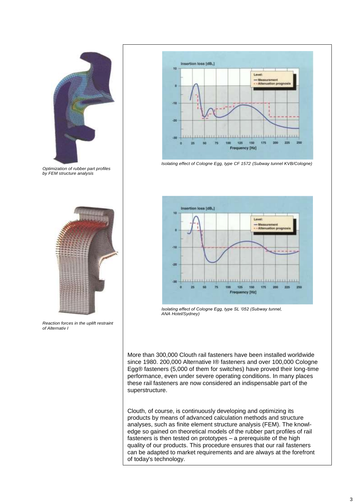

*Optimization of rubber part profiles by FEM structure analysis*



*Reaction forces in the uplift restraint of Alternativ I* 



*Isolating effect of Cologne Egg, type CF 1572 (Subway tunnel KVB/Cologne)*



*Isolating effect of Cologne Egg, type SL '052 (Subway tunnel, ANA Hotel/Sydney)*

More than 300,000 Clouth rail fasteners have been installed worldwide since 1980. 200,000 Alternative I® fasteners and over 100,000 Cologne Egg® fasteners (5,000 of them for switches) have proved their long-time performance, even under severe operating conditions. In many places these rail fasteners are now considered an indispensable part of the superstructure.

Clouth, of course, is continuously developing and optimizing its products by means of advanced calculation methods and structure analyses, such as finite element structure analysis (FEM). The knowledge so gained on theoretical models of the rubber part profiles of rail fasteners is then tested on prototypes – a prerequisite of the high quality of our products. This procedure ensures that our rail fasteners can be adapted to market requirements and are always at the forefront of today's technology.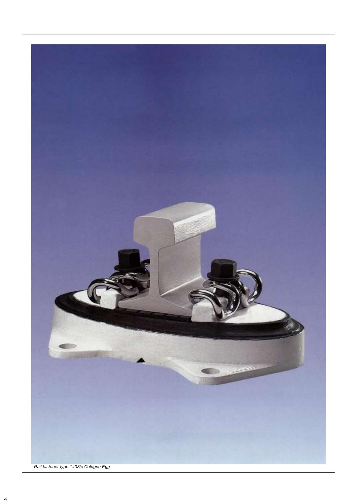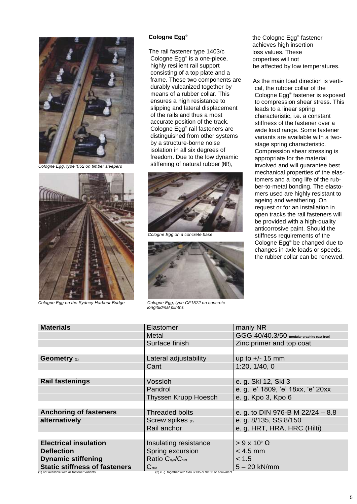

*Cologne Egg, type '052 on timber sleepers*



*Cologne Egg on the Sydney Harbour Bridge Cologne Egg, type CF1572 on concrete*

#### **Cologne Egg**®

The rail fastener type 1403/c Cologne Egg® is a one-piece, highly resilient rail support consisting of a top plate and a frame. These two components are durably vulcanized together by means of a rubber collar. This ensures a high resistance to slipping and lateral displacement of the rails and thus a most accurate position of the track. Cologne Egg® rail fasteners are distinguished from other systems by a structure-borne noise isolation in all six degrees of freedom. Due to the low dynamic stiffening of natural rubber (NR),



*Cologne Egg on a concrete base*



 *longitudinal plinths*

the Cologne Egg® fastener achieves high insertion loss values. These properties will not be affected by low temperatures.

As the main load direction is vertical, the rubber collar of the Cologne Egg® fastener is exposed to compression shear stress. This leads to a linear spring characteristic, i.e. a constant stiffness of the fastener over a wide load range. Some fastener variants are available with a twostage spring characteristic. Compression shear stressing is appropriate for the material involved and will guarantee best mechanical properties of the elastomers and a long life of the rubber-to-metal bonding. The elastomers used are highly resistant to ageing and weathering. On request or for an installation in open tracks the rail fasteners will be provided with a high-quality anticorrosive paint. Should the stiffness requirements of the Cologne Egg® be changed due to changes in axle loads or speeds, the rubber collar can be renewed.

| <b>Materials</b>                     | Elastomer                                 | manly NR                                    |
|--------------------------------------|-------------------------------------------|---------------------------------------------|
|                                      | Metal                                     | GGG 40/40.3/50 (nodular graphite cast iron) |
|                                      | Surface finish                            | Zinc primer and top coat                    |
|                                      |                                           |                                             |
| Geometry (1)                         | Lateral adjustability                     | up to $+/- 15$ mm                           |
|                                      | Cant                                      | 1:20, 1/40, 0                               |
|                                      |                                           |                                             |
| <b>Rail fastenings</b>               | Vossloh                                   | e. g. Skl 12, Skl 3                         |
|                                      | Pandrol                                   | e. g. 'e' 1809, 'e' 18xx, 'e' 20xx          |
|                                      | Thyssen Krupp Hoesch                      | e. g. Kpo 3, Kpo 6                          |
|                                      |                                           |                                             |
| <b>Anchoring of fasteners</b>        | <b>Threaded bolts</b>                     | e. g. to DIN 976-B M $22/24 - 8.8$          |
| alternatively                        | Screw spikes (2)                          | e. g. 8/135, SS 8/150                       |
|                                      | Rail anchor                               | e. g. HRT, HRA, HRC (Hilti)                 |
|                                      |                                           |                                             |
| <b>Electrical insulation</b>         | Insulating resistance                     | $> 9 \times 10^9 \Omega$                    |
| <b>Deflection</b>                    | Spring excursion                          | $< 4.5$ mm                                  |
| <b>Dynamic stiffening</b>            | Ratio C <sub>dyn</sub> /C <sub>stat</sub> | < 1.5                                       |
| <b>Static stiffness of fasteners</b> | $C_{\text{stat}}$                         | $5 - 20$ kN/mm                              |

<sup>(1)</sup> not available with all fastener variants (2) e. g. together with Sdü 9/135 or 9/150 or equivalent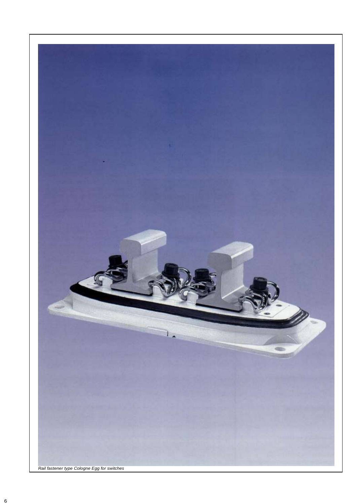

*Rail fastener type Cologne Egg for switches*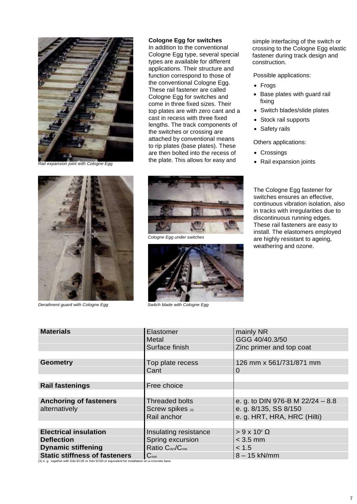

*Rail expansion joint with Cologne Egg*

#### **Cologne Egg for switches**

In addition to the conventional Cologne Egg type, several special types are available for different applications. Their structure and function correspond to those of the conventional Cologne Egg. These rail fastener are called Cologne Egg for switches and come in three fixed sizes. Their top plates are with zero cant and a cast in recess with three fixed lengths. The track components of the switches or crossing are attached by conventional means to rip plates (base plates). These are then bolted into the recess of the plate. This allows for easy and

simple interfacing of the switch or crossing to the Cologne Egg elastic fastener during track design and construction.

Possible applications:

- Frogs
- Base plates with guard rail fixing
- Switch blades/slide plates
- Stock rail supports
- Safety rails

Others applications:

- Crossings
- Rail expansion joints



**Derailment guard with Cologne Egg State Switch blade with Cologne Egg Contains a Switch blade with Cologne Egg** 



*Cologne Egg under switches*



The Cologne Egg fastener for switches ensures an effective, continuous vibration isolation, also in tracks with irregularities due to discontinuous running edges. These rail fasteners are easy to install. The elastomers employed are highly resistant to ageing, weathering and ozone.

| <b>Materials</b>                     | Elastomer                                 | mainly NR                        |
|--------------------------------------|-------------------------------------------|----------------------------------|
|                                      | Metal                                     | GGG 40/40.3/50                   |
|                                      | Surface finish                            | Zinc primer and top coat         |
|                                      |                                           |                                  |
| <b>Geometry</b>                      | Top plate recess                          | 126 mm x 561/731/871 mm          |
|                                      | Cant                                      | 0                                |
|                                      |                                           |                                  |
| <b>Rail fastenings</b>               | Free choice                               |                                  |
|                                      |                                           |                                  |
| <b>Anchoring of fasteners</b>        | <b>Threaded bolts</b>                     | e. g. to DIN 976-B M 22/24 - 8.8 |
|                                      |                                           |                                  |
| alternatively                        | Screw spikes (3)                          | e. g. 8/135, SS 8/150            |
|                                      | Rail anchor                               | e. g. HRT, HRA, HRC (Hilti)      |
|                                      |                                           |                                  |
| <b>Electrical insulation</b>         | Insulating resistance                     | $> 9 \times 10^9 \Omega$         |
| <b>Deflection</b>                    | Spring excursion                          | $<$ 3.5 mm                       |
| <b>Dynamic stiffening</b>            | Ratio C <sub>dyn</sub> /C <sub>stat</sub> | < 1.5                            |
| <b>Static stiffness of fasteners</b> | $C_{\text{stat}}$                         | $8 - 15$ kN/mm                   |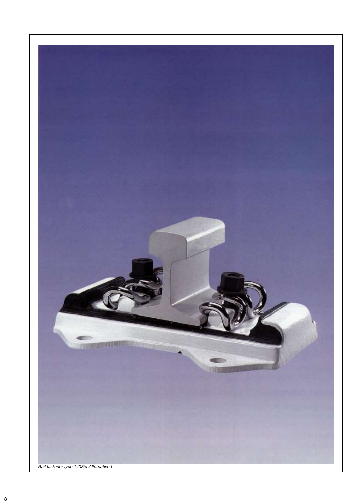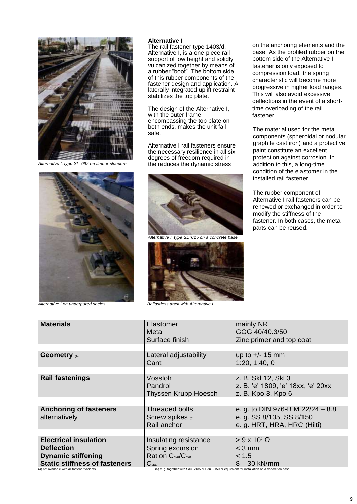

*Alternative I, type SL '092 on timber sleepers*

### with the outer frame encompassing the top plate on both ends, makes the unit failsafe.

Alternative I rail fasteners ensure the necessary resilience in all six degrees of freedom required in the reduces the dynamic stress

The design of the Alternative I,

**Alternative I** 

The rail fastener type 1403/d, Alternative I, is a one-piece rail support of low height and solidly vulcanized together by means of a rubber "boot". The bottom side of this rubber components of the fastener design and application. A laterally integrated uplift restraint

stabilizes the top plate.



*Alternative I on underpured socles Ballastless track with Alternative I*



*Alternative I, type SL '025 on a concrete base*



on the anchoring elements and the base. As the profiled rubber on the bottom side of the Alternative I fastener is only exposed to compression load, the spring characteristic will become more progressive in higher load ranges. This will also avoid excessive deflections in the event of a shorttime overloading of the rail fastener.

The material used for the metal components (spheroidal or nodular graphite cast iron) and a protective paint constitute an excellent protection against corrosion. In addition to this, a long-time condition of the elastomer in the installed rail fastener.

The rubber component of Alternative I rail fasteners can be renewed or exchanged in order to modify the stiffness of the fastener. In both cases, the metal parts can be reused.

| <b>Materials</b>                                                                                                                                   | Elastomer                                  | mainly NR                          |
|----------------------------------------------------------------------------------------------------------------------------------------------------|--------------------------------------------|------------------------------------|
|                                                                                                                                                    | Metal                                      | GGG 40/40.3/50                     |
|                                                                                                                                                    | Surface finish                             | Zinc primer and top coat           |
|                                                                                                                                                    |                                            |                                    |
| Geometry (4)                                                                                                                                       | Lateral adjustability                      | up to $+/- 15$ mm                  |
|                                                                                                                                                    | Cant                                       | 1:20, 1:40, 0                      |
|                                                                                                                                                    |                                            |                                    |
| <b>Rail fastenings</b>                                                                                                                             | Vossloh                                    | z. B. Skl 12, Skl 3                |
|                                                                                                                                                    | Pandrol                                    | z. B. 'e' 1809, 'e' 18xx, 'e' 20xx |
|                                                                                                                                                    | Thyssen Krupp Hoesch                       | z. B. Kpo 3, Kpo 6                 |
|                                                                                                                                                    |                                            |                                    |
| <b>Anchoring of fasteners</b>                                                                                                                      | <b>Threaded bolts</b>                      | e. g. to DIN 976-B M 22/24 - 8.8   |
| alternatively                                                                                                                                      | Screw spikes (5)                           | e. g. SS 8/135, SS 8/150           |
|                                                                                                                                                    | Rail anchor                                | e. g. HRT, HRA, HRC (Hilti)        |
|                                                                                                                                                    |                                            |                                    |
| <b>Electrical insulation</b>                                                                                                                       | Insulating resistance                      | $> 9 \times 10^9 \Omega$           |
| <b>Deflection</b>                                                                                                                                  | Spring excursion                           | $<$ 3 mm                           |
| <b>Dynamic stiffening</b>                                                                                                                          | Ration C <sub>dyn</sub> /C <sub>stat</sub> | < 1.5                              |
| <b>Static stiffness of fasteners</b>                                                                                                               | $C_{stat}$                                 | $8 - 30$ kN/mm                     |
| (5) e. q. together with Sdü 9/135 or Sdü 9/150 or equivalent for installation on a concretion base<br>(4) not available with all fastener variants |                                            |                                    |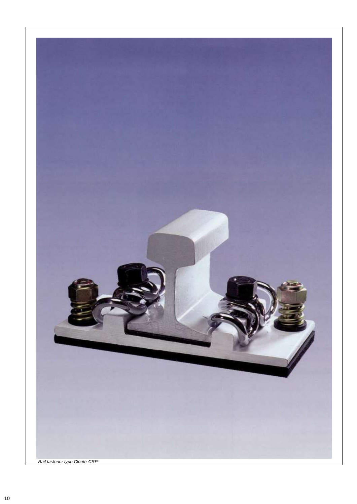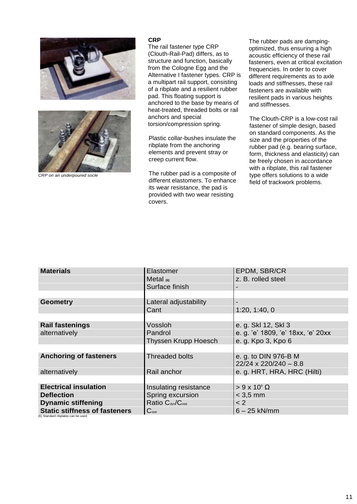



*CRP on an underpoured socle*

#### **CRP**

The rail fastener type CRP (Clouth-Rail-Pad) differs, as to structure and function, basically from the Cologne Egg and the Alternative I fastener types. CRP is a multipart rail support, consisting of a ribplate and a resilient rubber pad. This floating support is anchored to the base by means of heat-treated, threaded bolts or rail anchors and special torsion/compression spring.

Plastic collar-bushes insulate the ribplate from the anchoring elements and prevent stray or creep current flow.

The rubber pad is a composite of different elastomers. To enhance its wear resistance, the pad is provided with two wear resisting covers.

The rubber pads are dampingoptimized, thus ensuring a high acoustic efficiency of these rail fasteners, even at critical excitation frequencies. In order to cover different requirements as to axle loads and stiffnesses, these rail fasteners are available with resilient pads in various heights and stiffnesses.

The Clouth-CRP is a low-cost rail fastener of simple design, based on standard components. As the size and the properties of the rubber pad (e.g. bearing surface, form, thickness and elasticity) can be freely chosen in accordance with a ribplate, this rail fastener type offers solutions to a wide field of trackwork problems.

| <b>Materials</b>                     | Elastomer                                 | EPDM, SBR/CR                                         |
|--------------------------------------|-------------------------------------------|------------------------------------------------------|
|                                      | Metal $(6)$                               | z. B. rolled steel                                   |
|                                      | Surface finish                            |                                                      |
|                                      |                                           |                                                      |
| <b>Geometry</b>                      | Lateral adjustability                     |                                                      |
|                                      | Cant                                      | 1:20, 1:40, 0                                        |
|                                      |                                           |                                                      |
| <b>Rail fastenings</b>               | Vossloh                                   | e. g. Skl 12, Skl 3                                  |
| alternatively                        | Pandrol                                   | e. g. 'e' 1809, 'e' 18xx, 'e' 20xx                   |
|                                      | Thyssen Krupp Hoesch                      | e. g. Kpo 3, Kpo 6                                   |
|                                      |                                           |                                                      |
| <b>Anchoring of fasteners</b>        | <b>Threaded bolts</b>                     | e. g. to DIN 976-B M<br>$22/24 \times 220/240 - 8.8$ |
|                                      |                                           |                                                      |
| alternatively                        | Rail anchor                               | e. g. HRT, HRA, HRC (Hilti)                          |
|                                      |                                           |                                                      |
| <b>Electrical insulation</b>         | Insulating resistance                     | $> 9 \times 10^9 \Omega$                             |
| <b>Deflection</b>                    | Spring excursion                          | $< 3.5$ mm                                           |
| <b>Dynamic stiffening</b>            | Ratio C <sub>dyn</sub> /C <sub>stat</sub> | < 2                                                  |
| <b>Static stiffness of fasteners</b> | $C_{stat}$                                | $6 - 25$ kN/mm                                       |

(6) Standard ribplates can be used